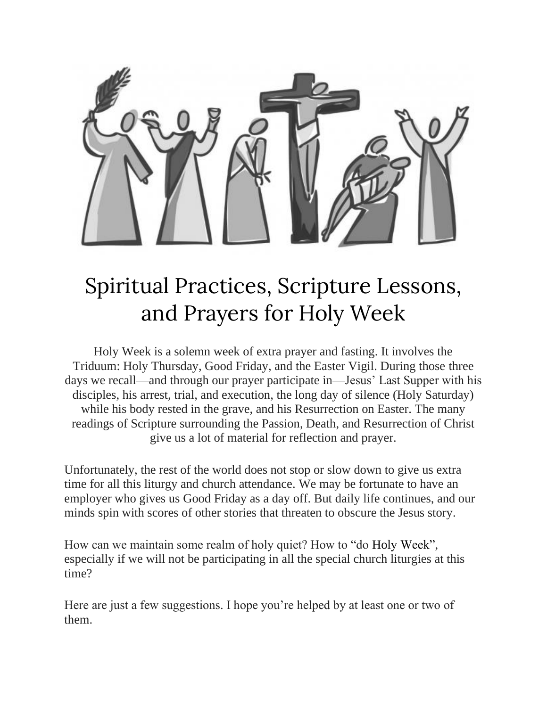

# Spiritual Practices, Scripture Lessons, and Prayers for Holy Week

Holy Week is a solemn week of extra prayer and fasting. It involves the Triduum: Holy Thursday, Good Friday, and the Easter Vigil. During those three days we recall—and through our prayer participate in—Jesus' Last Supper with his disciples, his arrest, trial, and execution, the long day of silence (Holy Saturday) while his body rested in the grave, and his Resurrection on Easter. The many readings of Scripture surrounding the Passion, Death, and Resurrection of Christ give us a lot of material for reflection and prayer.

Unfortunately, the rest of the world does not stop or slow down to give us extra time for all this liturgy and church attendance. We may be fortunate to have an employer who gives us Good Friday as a day off. But daily life continues, and our minds spin with scores of other stories that threaten to obscure the Jesus story.

How can we maintain some realm of holy quiet? How to "do Holy Week", especially if we will not be participating in all the special church liturgies at this time?

Here are just a few suggestions. I hope you're helped by at least one or two of them.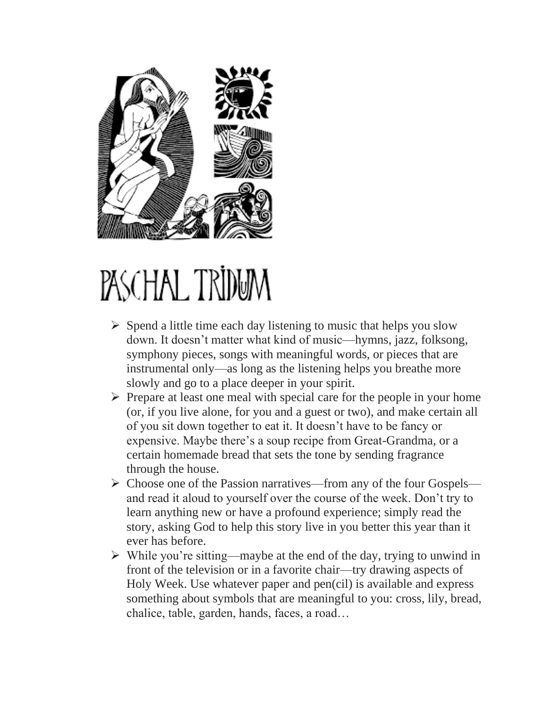

# PASCHAL TRIDUM

- $\triangleright$  Spend a little time each day listening to music that helps you slow down. It doesn't matter what kind of music—hymns, jazz, folksong, symphony pieces, songs with meaningful words, or pieces that are instrumental only—as long as the listening helps you breathe more slowly and go to a place deeper in your spirit.
- $\triangleright$  Prepare at least one meal with special care for the people in your home (or, if you live alone, for you and a guest or two), and make certain all of you sit down together to eat it. It doesn't have to be fancy or expensive. Maybe there's a soup recipe from Great-Grandma, or a certain homemade bread that sets the tone by sending fragrance through the house.
- $\triangleright$  Choose one of the Passion narratives—from any of the four Gospels and read it aloud to yourself over the course of the week. Don't try to learn anything new or have a profound experience; simply read the story, asking God to help this story live in you better this year than it ever has before.
- $\triangleright$  While you're sitting—maybe at the end of the day, trying to unwind in front of the television or in a favorite chair—try drawing aspects of Holy Week. Use whatever paper and pen(cil) is available and express something about symbols that are meaningful to you: cross, lily, bread, chalice, table, garden, hands, faces, a road…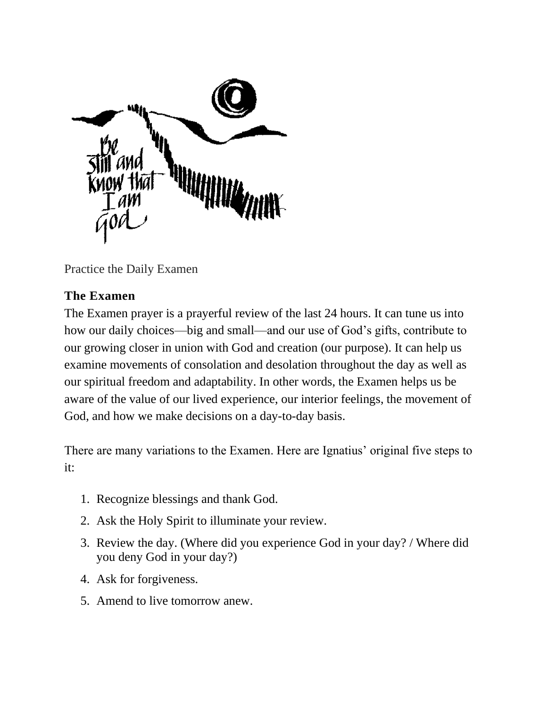

Practice the Daily Examen

## **The Examen**

The Examen prayer is a prayerful review of the last 24 hours. It can tune us into how our daily choices—big and small—and our use of God's gifts, contribute to our growing closer in union with God and creation (our purpose). It can help us examine movements of consolation and desolation throughout the day as well as our spiritual freedom and adaptability. In other words, the Examen helps us be aware of the value of our lived experience, our interior feelings, the movement of God, and how we make decisions on a day-to-day basis.

There are many variations to the Examen. Here are Ignatius' original five steps to it:

- 1. Recognize blessings and thank God.
- 2. Ask the Holy Spirit to illuminate your review.
- 3. Review the day. (Where did you experience God in your day? / Where did you deny God in your day?)
- 4. Ask for forgiveness.
- 5. Amend to live tomorrow anew.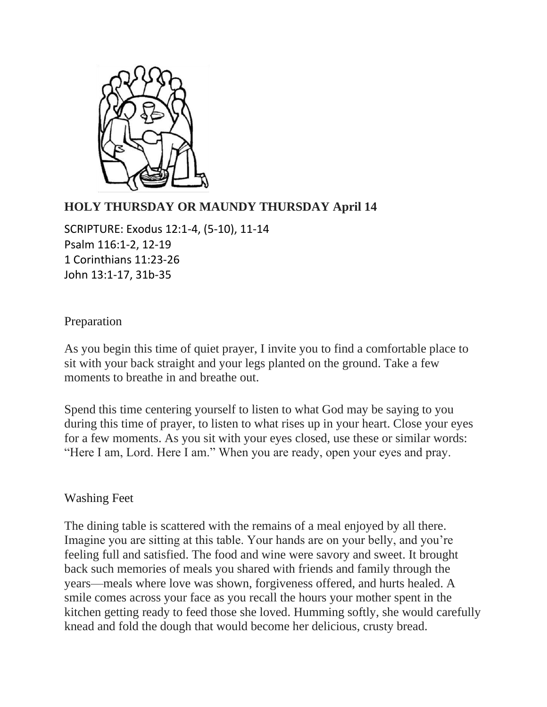

## **HOLY THURSDAY OR MAUNDY THURSDAY April 14**

SCRIPTURE: Exodus 12:1-4, (5-10), 11-14 Psalm 116:1-2, 12-19 1 Corinthians 11:23-26 John 13:1-17, 31b-35

#### Preparation

As you begin this time of quiet prayer, I invite you to find a comfortable place to sit with your back straight and your legs planted on the ground. Take a few moments to breathe in and breathe out.

Spend this time centering yourself to listen to what God may be saying to you during this time of prayer, to listen to what rises up in your heart. Close your eyes for a few moments. As you sit with your eyes closed, use these or similar words: "Here I am, Lord. Here I am." When you are ready, open your eyes and pray.

#### Washing Feet

The dining table is scattered with the remains of a meal enjoyed by all there. Imagine you are sitting at this table. Your hands are on your belly, and you're feeling full and satisfied. The food and wine were savory and sweet. It brought back such memories of meals you shared with friends and family through the years—meals where love was shown, forgiveness offered, and hurts healed. A smile comes across your face as you recall the hours your mother spent in the kitchen getting ready to feed those she loved. Humming softly, she would carefully knead and fold the dough that would become her delicious, crusty bread.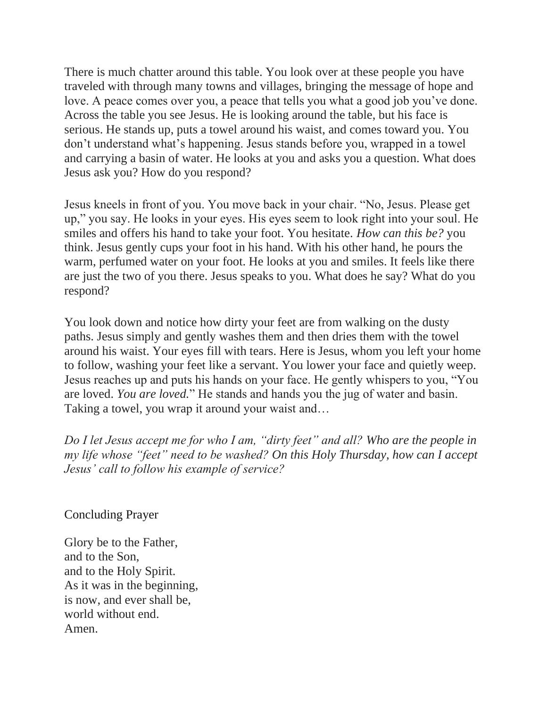There is much chatter around this table. You look over at these people you have traveled with through many towns and villages, bringing the message of hope and love. A peace comes over you, a peace that tells you what a good job you've done. Across the table you see Jesus. He is looking around the table, but his face is serious. He stands up, puts a towel around his waist, and comes toward you. You don't understand what's happening. Jesus stands before you, wrapped in a towel and carrying a basin of water. He looks at you and asks you a question. What does Jesus ask you? How do you respond?

Jesus kneels in front of you. You move back in your chair. "No, Jesus. Please get up," you say. He looks in your eyes. His eyes seem to look right into your soul. He smiles and offers his hand to take your foot. You hesitate. *How can this be?* you think. Jesus gently cups your foot in his hand. With his other hand, he pours the warm, perfumed water on your foot. He looks at you and smiles. It feels like there are just the two of you there. Jesus speaks to you. What does he say? What do you respond?

You look down and notice how dirty your feet are from walking on the dusty paths. Jesus simply and gently washes them and then dries them with the towel around his waist. Your eyes fill with tears. Here is Jesus, whom you left your home to follow, washing your feet like a servant. You lower your face and quietly weep. Jesus reaches up and puts his hands on your face. He gently whispers to you, "You are loved. *You are loved.*" He stands and hands you the jug of water and basin. Taking a towel, you wrap it around your waist and…

*Do I let Jesus accept me for who I am, "dirty feet" and all? Who are the people in my life whose "feet" need to be washed? On this Holy Thursday, how can I accept Jesus' call to follow his example of service?*

Concluding Prayer

Glory be to the Father, and to the Son, and to the Holy Spirit. As it was in the beginning, is now, and ever shall be, world without end. Amen.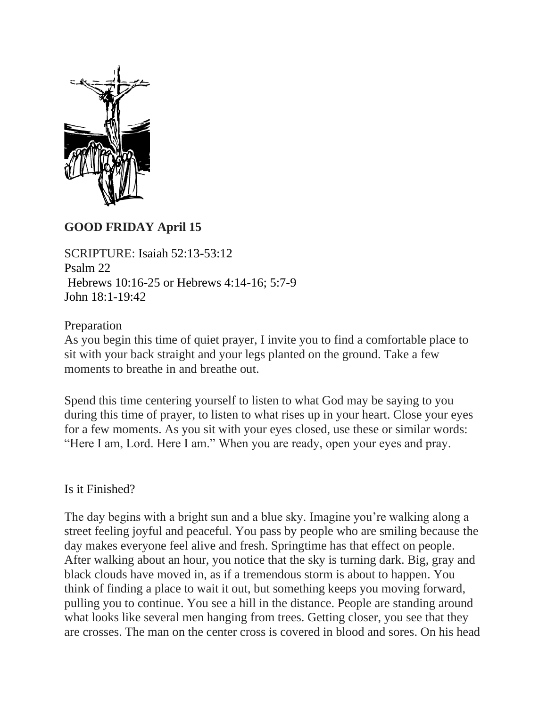

#### **GOOD FRIDAY April 15**

SCRIPTURE: Isaiah 52:13-53:12 Psalm 22 Hebrews 10:16-25 or Hebrews 4:14-16; 5:7-9 John 18:1-19:42

#### Preparation

As you begin this time of quiet prayer, I invite you to find a comfortable place to sit with your back straight and your legs planted on the ground. Take a few moments to breathe in and breathe out.

Spend this time centering yourself to listen to what God may be saying to you during this time of prayer, to listen to what rises up in your heart. Close your eyes for a few moments. As you sit with your eyes closed, use these or similar words: "Here I am, Lord. Here I am." When you are ready, open your eyes and pray.

#### Is it Finished?

The day begins with a bright sun and a blue sky. Imagine you're walking along a street feeling joyful and peaceful. You pass by people who are smiling because the day makes everyone feel alive and fresh. Springtime has that effect on people. After walking about an hour, you notice that the sky is turning dark. Big, gray and black clouds have moved in, as if a tremendous storm is about to happen. You think of finding a place to wait it out, but something keeps you moving forward, pulling you to continue. You see a hill in the distance. People are standing around what looks like several men hanging from trees. Getting closer, you see that they are crosses. The man on the center cross is covered in blood and sores. On his head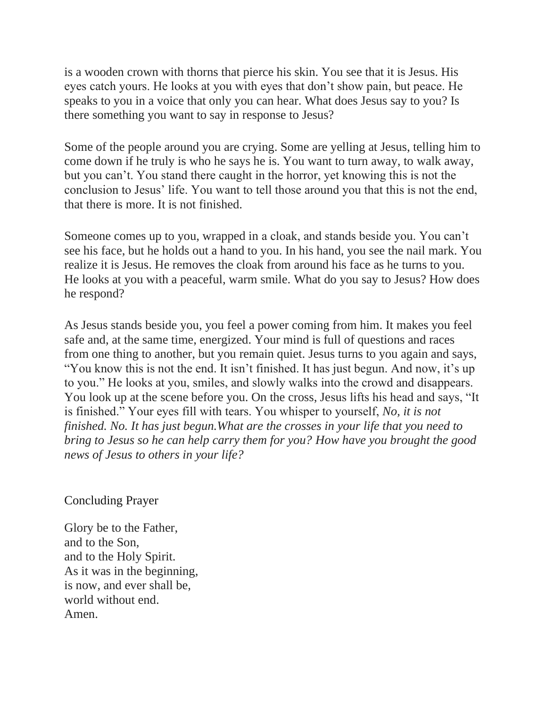is a wooden crown with thorns that pierce his skin. You see that it is Jesus. His eyes catch yours. He looks at you with eyes that don't show pain, but peace. He speaks to you in a voice that only you can hear. What does Jesus say to you? Is there something you want to say in response to Jesus?

Some of the people around you are crying. Some are yelling at Jesus, telling him to come down if he truly is who he says he is. You want to turn away, to walk away, but you can't. You stand there caught in the horror, yet knowing this is not the conclusion to Jesus' life. You want to tell those around you that this is not the end, that there is more. It is not finished.

Someone comes up to you, wrapped in a cloak, and stands beside you. You can't see his face, but he holds out a hand to you. In his hand, you see the nail mark. You realize it is Jesus. He removes the cloak from around his face as he turns to you. He looks at you with a peaceful, warm smile. What do you say to Jesus? How does he respond?

As Jesus stands beside you, you feel a power coming from him. It makes you feel safe and, at the same time, energized. Your mind is full of questions and races from one thing to another, but you remain quiet. Jesus turns to you again and says, "You know this is not the end. It isn't finished. It has just begun. And now, it's up to you." He looks at you, smiles, and slowly walks into the crowd and disappears. You look up at the scene before you. On the cross, Jesus lifts his head and says, "It is finished." Your eyes fill with tears. You whisper to yourself, *No, it is not finished. No. It has just begun.What are the crosses in your life that you need to bring to Jesus so he can help carry them for you? How have you brought the good news of Jesus to others in your life?*

Concluding Prayer

Glory be to the Father, and to the Son, and to the Holy Spirit. As it was in the beginning, is now, and ever shall be, world without end. Amen.